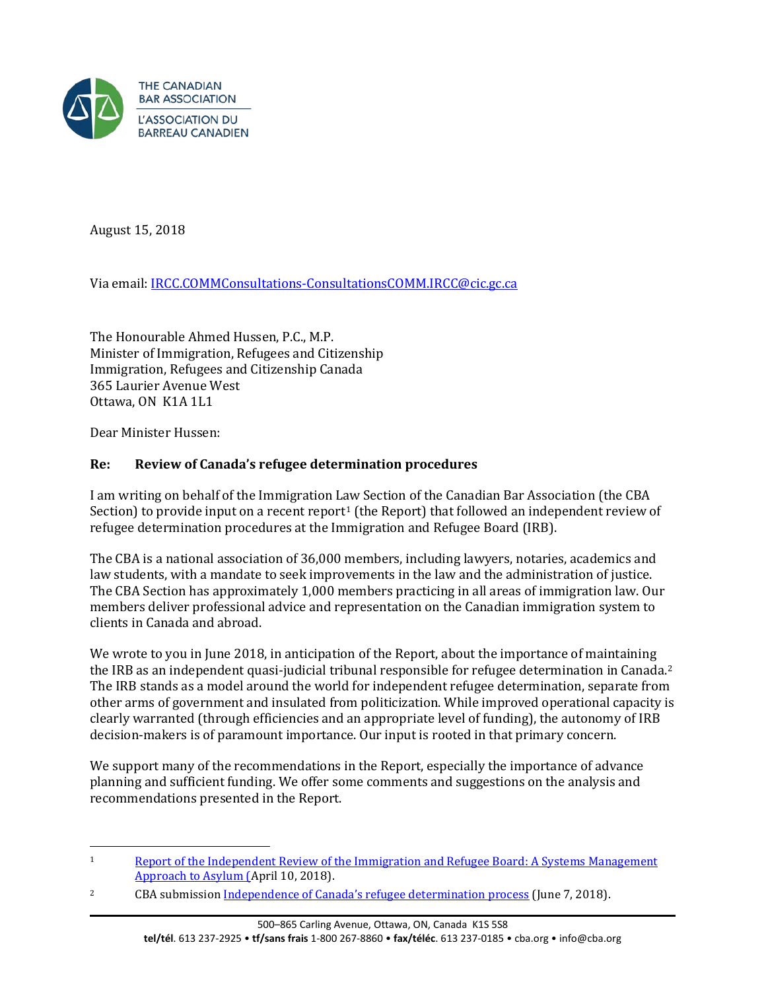

August 15, 2018

Via email: [IRCC.COMMConsultations-ConsultationsCOMM.IRCC@cic.gc.ca](mailto:IRCC.COMMConsultations-ConsultationsCOMM.IRCC@cic.gc.ca)

The Honourable Ahmed Hussen, P.C., M.P. Minister of Immigration, Refugees and Citizenship Immigration, Refugees and Citizenship Canada 365 Laurier Avenue West Ottawa, ON K1A 1L1

Dear Minister Hussen:

# **Re: Review of Canada's refugee determination procedures**

I am writing on behalf of the Immigration L[aw](#page-0-0) Section of the Canadian Bar Association (the CBA Section) to provide input on a recent report<sup>1</sup> (the Report) that followed an independent review of refugee determination procedures at the Immigration and Refugee Board (IRB).

The CBA is a national association of 36,000 members, including lawyers, notaries, academics and law students, with a mandate to seek improvements in the law and the administration of justice. The CBA Section has approximately 1,000 members practicing in all areas of immigration law. Our members deliver professional advice and representation on the Canadian immigration system to clients in Canada and abroad.

We wrote to you in June 2018, in anticipation of the Report, about the importance of maintaining the IRB as an independent quasi-judicial tribunal responsible for refugee determination in Canada.[2](#page-0-1) The IRB stands as a model around the world for independent refugee determination, separate from other arms of government and insulated from politicization. While improved operational capacity is clearly warranted (through efficiencies and an appropriate level of funding), the autonomy of IRB decision-makers is of paramount importance. Our input is rooted in that primary concern.

We support many of the recommendations in the Report, especially the importance of advance planning and sufficient funding. We offer some comments and suggestions on the analysis and recommendations presented in the Report.

<span id="page-0-0"></span> $\overline{a}$ 1 [Report of the Independent Review of the Immigration and Refugee Board: A Systems Management](https://www.canada.ca/content/dam/ircc/migration/ircc/english/pdf/pub/irb-report-en.pdf)  [Approach to Asylum \(A](https://www.canada.ca/content/dam/ircc/migration/ircc/english/pdf/pub/irb-report-en.pdf)pril 10, 2018).

<span id="page-0-1"></span><sup>&</sup>lt;sup>2</sup> CBA submission <u>Independence of Canada's refugee determination process</u> (June 7, 2018).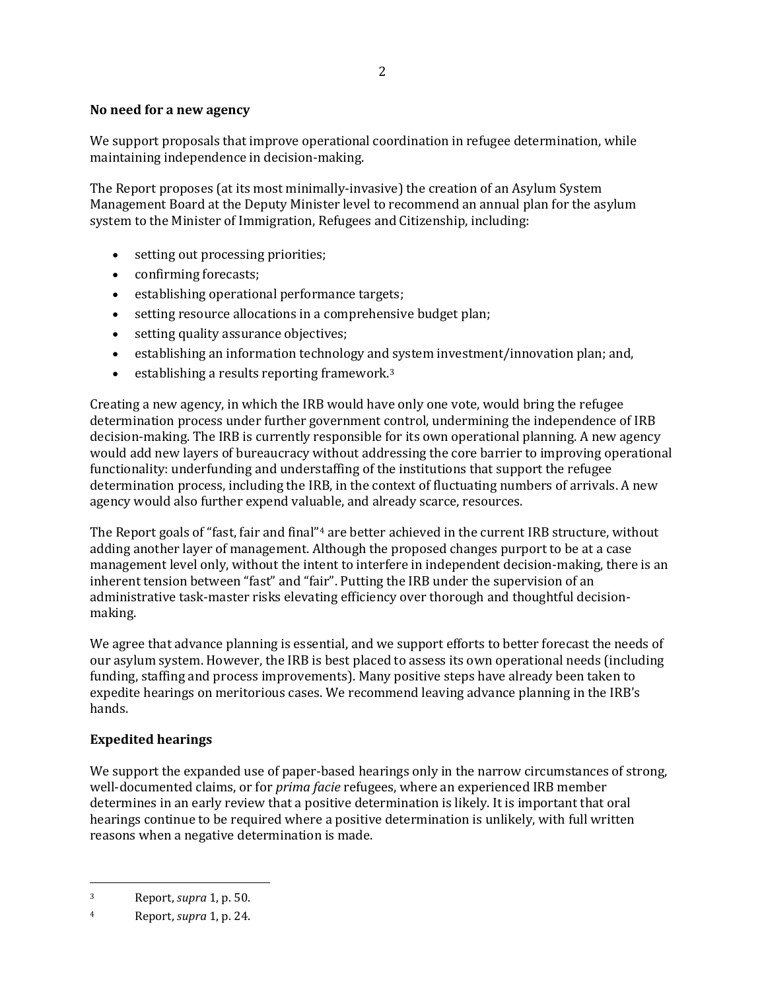## **No need for a new agency**

We support proposals that improve operational coordination in refugee determination, while maintaining independence in decision-making.

The Report proposes (at its most minimally-invasive) the creation of an Asylum System Management Board at the Deputy Minister level to recommend an annual plan for the asylum system to the Minister of Immigration, Refugees and Citizenship, including:

- setting out processing priorities;
- confirming forecasts;
- establishing operational performance targets;
- setting resource allocations in a comprehensive budget plan;
- setting quality assurance objectives;
- establishing an information technology and [s](#page-1-0)ystem investment/innovation plan; and,
- $\bullet$  establishing a results reporting framework.<sup>3</sup>

Creating a new agency, in which the IRB would have only one vote, would bring the refugee determination process under further government control, undermining the independence of IRB decision-making. The IRB is currently responsible for its own operational planning. A new agency would add new layers of bureaucracy without addressing the core barrier to improving operational functionality: underfunding and understaffing of the institutions that support the refugee determination process, including the IRB, in the context of fluctuating numbers of arrivals. A new agency would also further expend valuable, and already scarce, resources.

The Report goals of "fast, fair and final"<sup>[4](#page-1-1)</sup> are better achieved in the current IRB structure, without adding another layer of management. Although the proposed changes purport to be at a case management level only, without the intent to interfere in independent decision-making, there is an inherent tension between "fast" and "fair". Putting the IRB under the supervision of an administrative task-master risks elevating efficiency over thorough and thoughtful decisionmaking.

We agree that advance planning is essential, and we support efforts to better forecast the needs of our asylum system. However, the IRB is best placed to assess its own operational needs (including funding, staffing and process improvements). Many positive steps have already been taken to expedite hearings on meritorious cases. We recommend leaving advance planning in the IRB's hands.

## **Expedited hearings**

We support the expanded use of paper-based hearings only in the narrow circumstances of strong, well-documented claims, or for *prima facie* refugees, where an experienced IRB member determines in an early review that a positive determination is likely. It is important that oral hearings continue to be required where a positive determination is unlikely, with full written reasons when a negative determination is made.

 $\overline{a}$ 

<span id="page-1-0"></span><sup>3</sup> Report, *supra* 1, p. 50.

<span id="page-1-1"></span><sup>4</sup> Report, *supra* 1, p. 24.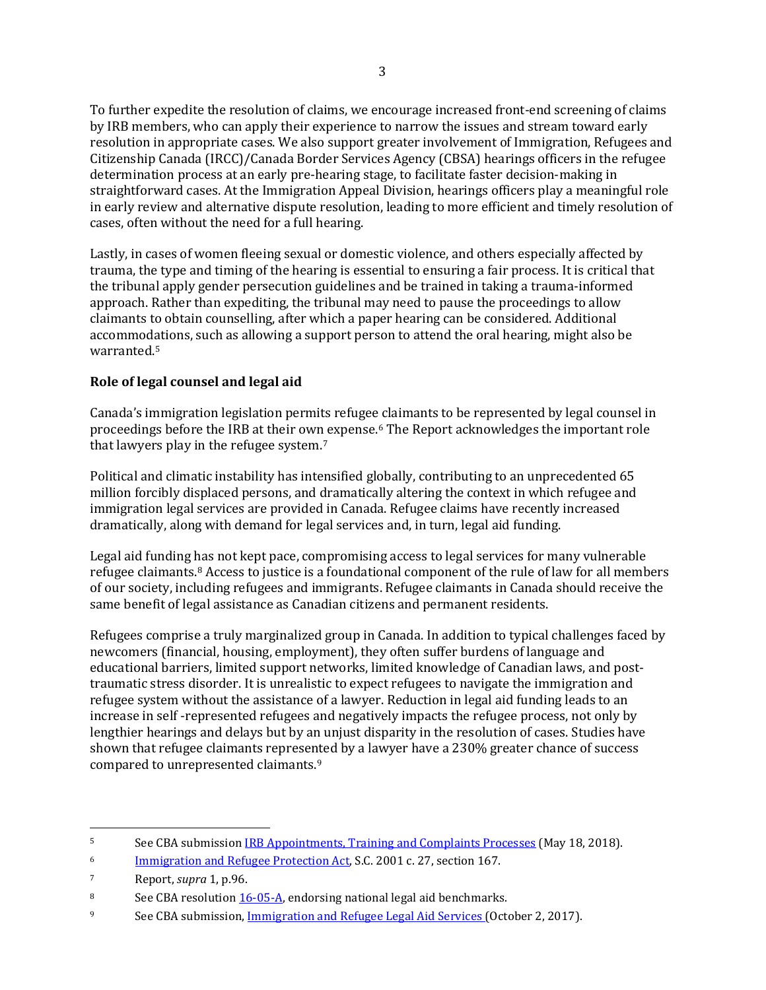To further expedite the resolution of claims, we encourage increased front-end screening of claims by IRB members, who can apply their experience to narrow the issues and stream toward early resolution in appropriate cases. We also support greater involvement of Immigration, Refugees and Citizenship Canada (IRCC)/Canada Border Services Agency (CBSA) hearings officers in the refugee determination process at an early pre-hearing stage, to facilitate faster decision-making in straightforward cases. At the Immigration Appeal Division, hearings officers play a meaningful role in early review and alternative dispute resolution, leading to more efficient and timely resolution of cases, often without the need for a full hearing.

Lastly, in cases of women fleeing sexual or domestic violence, and others especially affected by trauma, the type and timing of the hearing is essential to ensuring a fair process. It is critical that the tribunal apply gender persecution guidelines and be trained in taking a trauma-informed approach. Rather than expediting, the tribunal may need to pause the proceedings to allow claimants to obtain counselling, after which a paper hearing can be considered. Additional accommodations, such as allowing a support person to attend the oral hearing, might also be warranted[.5](#page-2-0)

# **Role of legal counsel and legal aid**

Canada's immigration legislation permits refugee [c](#page-2-1)laimants to be represented by legal counsel in proceedings before the IRB at their own expense.6 The Report acknowledges the important role that lawyers play in the refugee system.[7](#page-2-2)

Political and climatic instability has intensified globally, contributing to an unprecedented 65 million forcibly displaced persons, and dramatically altering the context in which refugee and immigration legal services are provided in Canada. Refugee claims have recently increased dramatically, along with demand for legal services and, in turn, legal aid funding.

Legal aid funding [ha](#page-2-3)s not kept pace, compromising access to legal services for many vulnerable refugee claimants.8 Access to justice is a foundational component of the rule of law for all members of our society, including refugees and immigrants. Refugee claimants in Canada should receive the same benefit of legal assistance as Canadian citizens and permanent residents.

Refugees comprise a truly marginalized group in Canada. In addition to typical challenges faced by newcomers (financial, housing, employment), they often suffer burdens of language and educational barriers, limited support networks, limited knowledge of Canadian laws, and posttraumatic stress disorder. It is unrealistic to expect refugees to navigate the immigration and refugee system without the assistance of a lawyer. Reduction in legal aid funding leads to an increase in self -represented refugees and negatively impacts the refugee process, not only by lengthier hearings and delays but by an unjust disparity in the resolution of cases. Studies have shown that refugee claimants represe[nt](#page-2-4)ed by a lawyer have a 230% greater chance of success compared to unrepresented claimants.9

<span id="page-2-0"></span> $\overline{a}$ 5 See CBA submission [IRB Appointments, Training and Complaints Processes](https://www.cba.org/CMSPages/GetFile.aspx?guid=6bf10a89-db81-40f4-ab3d-a41d78fe1245) (May 18, 2018).

<span id="page-2-1"></span><sup>&</sup>lt;sup>6</sup> [Immigration and Refugee Protection Act,](http://laws-lois.justice.gc.ca/eng/acts/I-2.5/) S.C. 2001 c. 27, section 167.

<span id="page-2-2"></span><sup>7</sup> Report, *supra* 1, p.96.

<span id="page-2-3"></span><sup>8</sup> See CBA resolution [16-05-A,](https://www.cba.org/getattachment/Our-Work/Resolutions/Resolutions/2016/Legal-Aid-Benchmarks/16-05-A-ct.pdf) endorsing national legal aid benchmarks.

<span id="page-2-4"></span><sup>9</sup> See CBA submission, [Immigration and Refugee Legal Aid Services \(](https://www.cba.org/CMSPages/GetFile.aspx?guid=eeea0bb9-2f10-46bc-8a7a-81626d2baec4)October 2, 2017).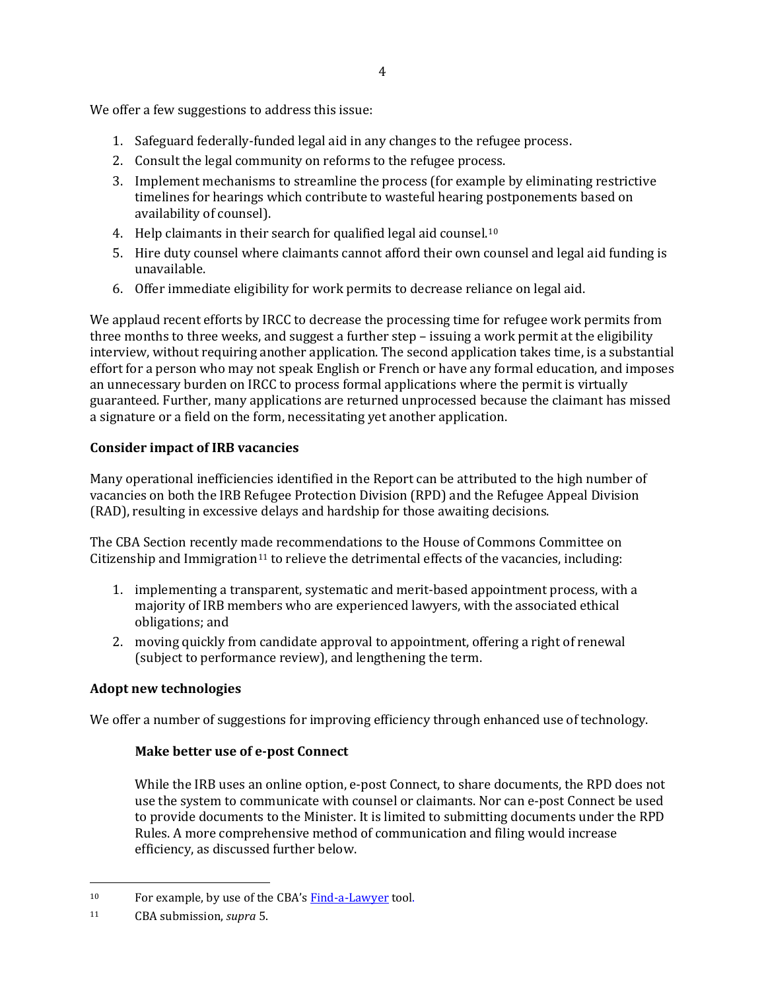We offer a few suggestions to address this issue:

- 1. Safeguard federally-funded legal aid in any changes to the refugee process.
- 2. Consult the legal community on reforms to the refugee process.
- 3. Implement mechanisms to streamline the process (for example by eliminating restrictive timelines for hearings which contribute to wasteful hearing postponements based on availability of counsel).
- 4. Help claimants in their search for qualified legal aid counsel.<sup>[10](#page-3-0)</sup>
- 5. Hire duty counsel where claimants cannot afford their own counsel and legal aid funding is unavailable.
- 6. Offer immediate eligibility for work permits to decrease reliance on legal aid.

We applaud recent efforts by IRCC to decrease the processing time for refugee work permits from three months to three weeks, and suggest a further step – issuing a work permit at the eligibility interview, without requiring another application. The second application takes time, is a substantial effort for a person who may not speak English or French or have any formal education, and imposes an unnecessary burden on IRCC to process formal applications where the permit is virtually guaranteed. Further, many applications are returned unprocessed because the claimant has missed a signature or a field on the form, necessitating yet another application.

## **Consider impact of IRB vacancies**

Many operational inefficiencies identified in the Report can be attributed to the high number of vacancies on both the IRB Refugee Protection Division (RPD) and the Refugee Appeal Division (RAD), resulting in excessive delays and hardship for those awaiting decisions.

The CBA Section recently made recommendations to the House of Commons Committee on Citizenship and Immigration<sup>[11](#page-3-1)</sup> to relieve the detrimental effects of the vacancies, including:

- 1. implementing a transparent, systematic and merit-based appointment process, with a majority of IRB members who are experienced lawyers, with the associated ethical obligations; and
- 2. moving quickly from candidate approval to appointment, offering a right of renewal (subject to performance review), and lengthening the term.

## **Adopt new technologies**

We offer a number of suggestions for improving efficiency through enhanced use of technology.

#### **Make better use of e-post Connect**

While the IRB uses an online option, e-post Connect, to share documents, the RPD does not use the system to communicate with counsel or claimants. Nor can e-post Connect be used to provide documents to the Minister. It is limited to submitting documents under the RPD Rules. A more comprehensive method of communication and filing would increase efficiency, as discussed further below.

 $\overline{a}$ 

<span id="page-3-0"></span><sup>&</sup>lt;sup>10</sup> For example, by use of the CBA's  $\frac{Find-a-Lawyer}{CBA}$  tool.

<span id="page-3-1"></span><sup>11</sup> CBA submission, *supra* 5.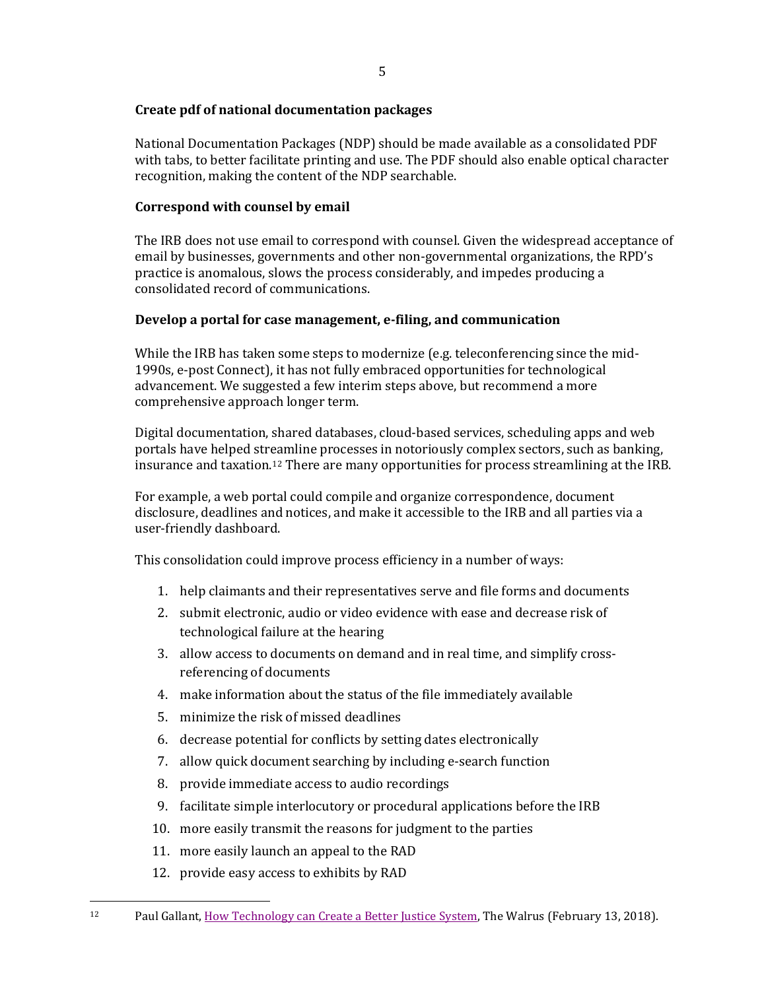## **Create pdf of national documentation packages**

National Documentation Packages (NDP) should be made available as a consolidated PDF with tabs, to better facilitate printing and use. The PDF should also enable optical character recognition, making the content of the NDP searchable.

### **Correspond with counsel by email**

The IRB does not use email to correspond with counsel. Given the widespread acceptance of email by businesses, governments and other non-governmental organizations, the RPD's practice is anomalous, slows the process considerably, and impedes producing a consolidated record of communications.

## **Develop a portal for case management, e-filing, and communication**

While the IRB has taken some steps to modernize (e.g. teleconferencing since the mid-1990s, e-post Connect), it has not fully embraced opportunities for technological advancement. We suggested a few interim steps above, but recommend a more comprehensive approach longer term.

Digital documentation, shared databases, cloud-based services, scheduling apps and web portals have helped str[ea](#page-4-0)mline processes in notoriously complex sectors, such as banking, insurance and taxation.12 There are many opportunities for process streamlining at the IRB.

For example, a web portal could compile and organize correspondence, document disclosure, deadlines and notices, and make it accessible to the IRB and all parties via a user-friendly dashboard.

This consolidation could improve process efficiency in a number of ways:

- 1. help claimants and their representatives serve and file forms and documents
- 2. submit electronic, audio or video evidence with ease and decrease risk of technological failure at the hearing
- 3. allow access to documents on demand and in real time, and simplify crossreferencing of documents
- 4. make information about the status of the file immediately available
- 5. minimize the risk of missed deadlines
- 6. decrease potential for conflicts by setting dates electronically
- 7. allow quick document searching by including e-search function
- 8. provide immediate access to audio recordings
- 9. facilitate simple interlocutory or procedural applications before the IRB
- 10. more easily transmit the reasons for judgment to the parties
- 11. more easily launch an appeal to the RAD
- 12. provide easy access to exhibits by RAD

 $\overline{a}$ 

<span id="page-4-0"></span><sup>12</sup> Paul Gallant[, How Technology can Create a Better Justice System,](https://thewalrus.ca/how-technology-can-help-create-a-better-justice-system/) The Walrus (February 13, 2018).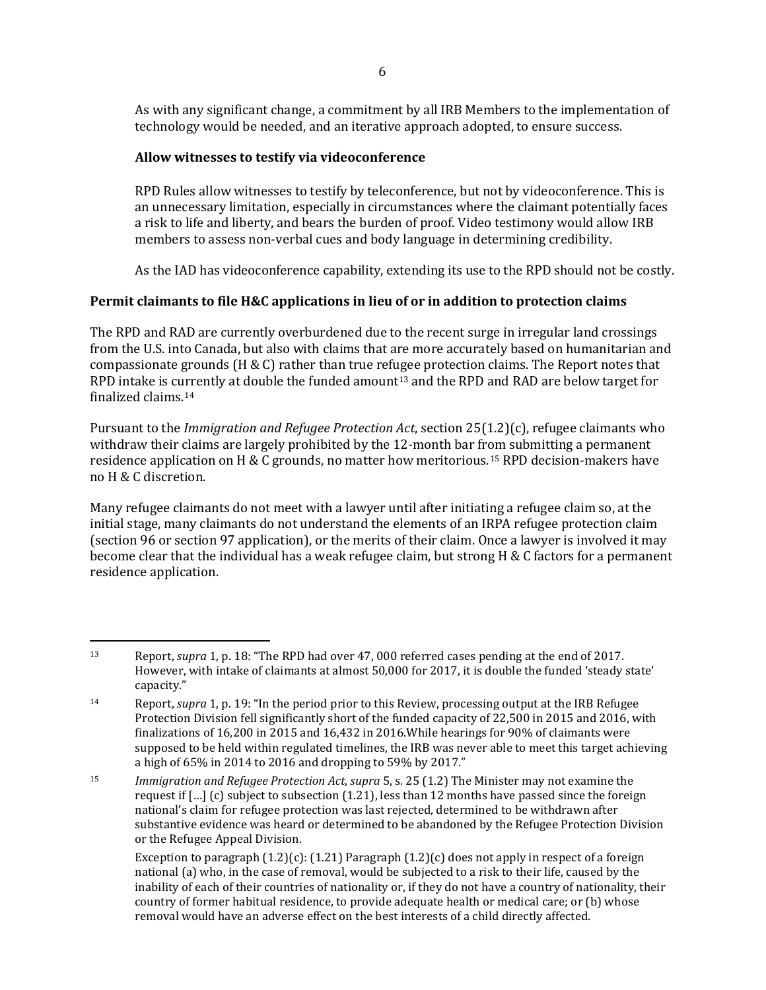As with any significant change, a commitment by all IRB Members to the implementation of technology would be needed, and an iterative approach adopted, to ensure success.

## **Allow witnesses to testify via videoconference**

 $\overline{a}$ 

RPD Rules allow witnesses to testify by teleconference, but not by videoconference. This is an unnecessary limitation, especially in circumstances where the claimant potentially faces a risk to life and liberty, and bears the burden of proof. Video testimony would allow IRB members to assess non-verbal cues and body language in determining credibility.

As the IAD has videoconference capability, extending its use to the RPD should not be costly.

## **Permit claimants to file H&C applications in lieu of or in addition to protection claims**

The RPD and RAD are currently overburdened due to the recent surge in irregular land crossings from the U.S. into Canada, but also with claims that are more accurately based on humanitarian and compassionate grounds (H & C) rather than true refugee protection claims. The Report notes that RPD intake is cu[rr](#page-5-1)ently at double the funded amount[13](#page-5-0) and the RPD and RAD are below target for finalized claims.14

Pursuant to the *Immigration and Refugee Protection Act*, section 25(1.2)(c), refugee claimants who withdraw their claims are largely prohibited by the 12-month bar from submitting a permanent residence application on H & C grounds, no matter how meritorious.[15](#page-5-2) RPD decision-makers have no H & C discretion.

Many refugee claimants do not meet with a lawyer until after initiating a refugee claim so, at the initial stage, many claimants do not understand the elements of an IRPA refugee protection claim (section 96 or section 97 application), or the merits of their claim. Once a lawyer is involved it may become clear that the individual has a weak refugee claim, but strong H & C factors for a permanent residence application.

<span id="page-5-0"></span><sup>13</sup> Report, *supra* 1, p. 18: "The RPD had over 47, 000 referred cases pending at the end of 2017. However, with intake of claimants at almost 50,000 for 2017, it is double the funded 'steady state' capacity."

<span id="page-5-1"></span><sup>14</sup> Report, *supra* 1, p. 19: "In the period prior to this Review, processing output at the IRB Refugee Protection Division fell significantly short of the funded capacity of 22,500 in 2015 and 2016, with finalizations of 16,200 in 2015 and 16,432 in 2016.While hearings for 90% of claimants were supposed to be held within regulated timelines, the IRB was never able to meet this target achieving a high of 65% in 2014 to 2016 and dropping to 59% by 2017."

<span id="page-5-2"></span><sup>15</sup> *Immigration and Refugee Protection Act*, *supra* 5, s. 25 (1.2) The Minister may not examine the request if […] (c) subject to subsection (1.21), less than 12 months have passed since the foreign national's claim for refugee protection was last rejected, determined to be withdrawn after substantive evidence was heard or determined to be abandoned by the Refugee Protection Division or the Refugee Appeal Division.

Exception to paragraph  $(1.2)(c)$ :  $(1.21)$  Paragraph  $(1.2)(c)$  does not apply in respect of a foreign national (a) who, in the case of removal, would be subjected to a risk to their life, caused by the inability of each of their countries of nationality or, if they do not have a country of nationality, their country of former habitual residence, to provide adequate health or medical care; or (b) whose removal would have an adverse effect on the best interests of a child directly affected.